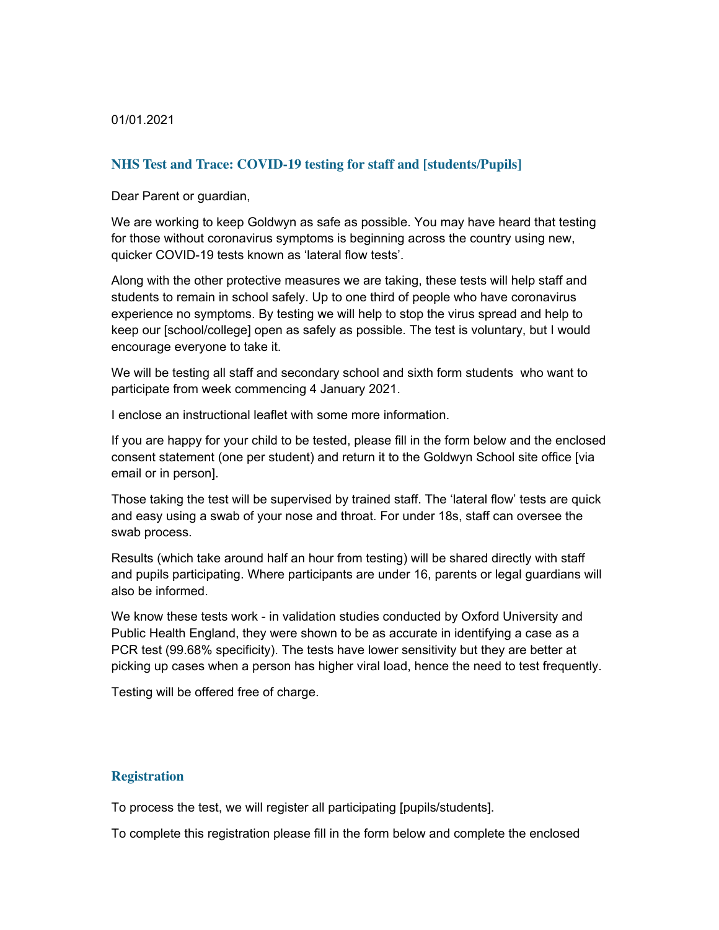01/01.2021

# **NHS Test and Trace: COVID-19 testing for staff and [students/Pupils]**

Dear Parent or guardian,

We are working to keep Goldwyn as safe as possible. You may have heard that testing for those without coronavirus symptoms is beginning across the country using new, quicker COVID-19 tests known as 'lateral flow tests'.

Along with the other protective measures we are taking, these tests will help staff and students to remain in school safely. Up to one third of people who have coronavirus experience no symptoms. By testing we will help to stop the virus spread and help to keep our [school/college] open as safely as possible. The test is voluntary, but I would encourage everyone to take it.

We will be testing all staff and secondary school and sixth form students who want to participate from week commencing 4 January 2021.

I enclose an instructional leaflet with some more information.

If you are happy for your child to be tested, please fill in the form below and the enclosed consent statement (one per student) and return it to the Goldwyn School site office [via email or in person].

Those taking the test will be supervised by trained staff. The 'lateral flow' tests are quick and easy using a swab of your nose and throat. For under 18s, staff can oversee the swab process.

Results (which take around half an hour from testing) will be shared directly with staff and pupils participating. Where participants are under 16, parents or legal guardians will also be informed.

We know these tests work - in validation studies conducted by Oxford University and Public Health England, they were shown to be as accurate in identifying a case as a PCR test (99.68% specificity). The tests have lower sensitivity but they are better at picking up cases when a person has higher viral load, hence the need to test frequently.

Testing will be offered free of charge.

#### **Registration**

To process the test, we will register all participating [pupils/students].

To complete this registration please fill in the form below and complete the enclosed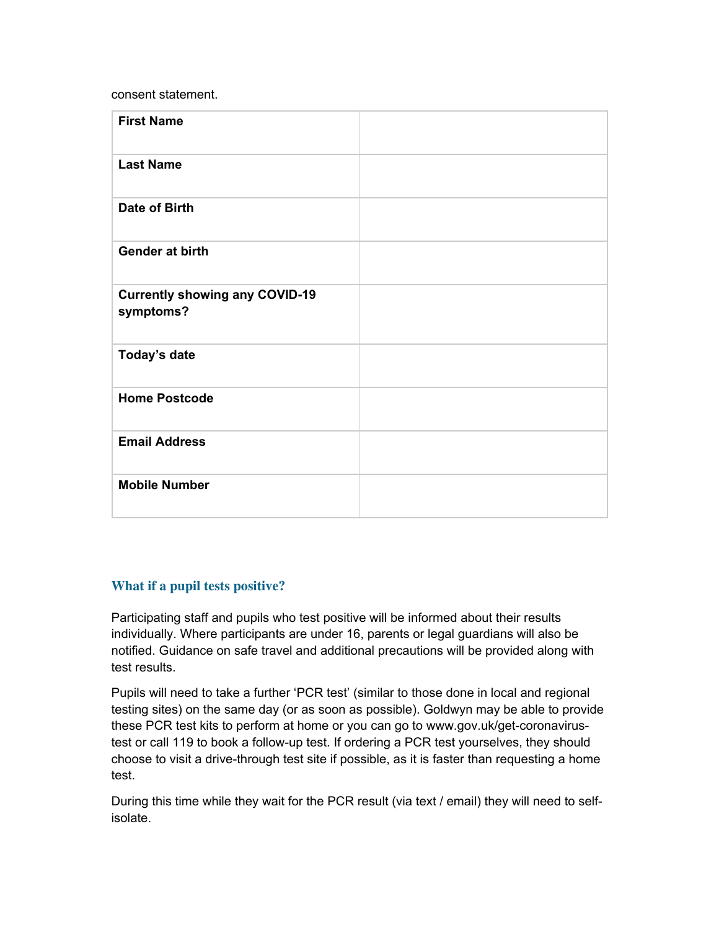consent statement.

| <b>First Name</b>                     |  |
|---------------------------------------|--|
|                                       |  |
|                                       |  |
| <b>Last Name</b>                      |  |
|                                       |  |
|                                       |  |
| <b>Date of Birth</b>                  |  |
|                                       |  |
|                                       |  |
| Gender at birth                       |  |
|                                       |  |
|                                       |  |
| <b>Currently showing any COVID-19</b> |  |
| symptoms?                             |  |
|                                       |  |
|                                       |  |
| Today's date                          |  |
|                                       |  |
|                                       |  |
| <b>Home Postcode</b>                  |  |
|                                       |  |
|                                       |  |
| <b>Email Address</b>                  |  |
|                                       |  |
|                                       |  |
| <b>Mobile Number</b>                  |  |
|                                       |  |
|                                       |  |

# **What if a pupil tests positive?**

Participating staff and pupils who test positive will be informed about their results individually. Where participants are under 16, parents or legal guardians will also be notified. Guidance on safe travel and additional precautions will be provided along with test results.

Pupils will need to take a further 'PCR test' (similar to those done in local and regional testing sites) on the same day (or as soon as possible). Goldwyn may be able to provide these PCR test kits to perform at home or you can go to www.gov.uk/get-coronavirustest or call 119 to book a follow-up test. If ordering a PCR test yourselves, they should choose to visit a drive-through test site if possible, as it is faster than requesting a home test.

During this time while they wait for the PCR result (via text / email) they will need to selfisolate.